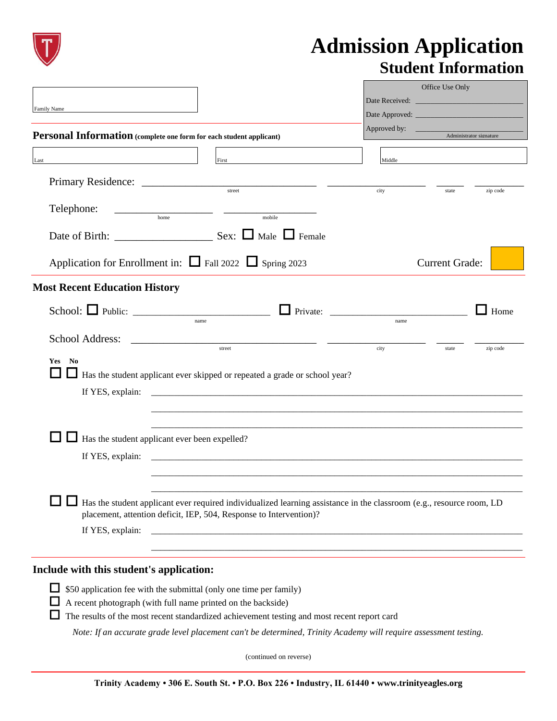

## **Admission Application Student Information**

|                                                                                                                                                                                             |                                                                                                                      | Office Use Only |                         |
|---------------------------------------------------------------------------------------------------------------------------------------------------------------------------------------------|----------------------------------------------------------------------------------------------------------------------|-----------------|-------------------------|
| Family Name                                                                                                                                                                                 |                                                                                                                      |                 |                         |
|                                                                                                                                                                                             |                                                                                                                      | Approved by:    |                         |
| Personal Information (complete one form for each student applicant)                                                                                                                         |                                                                                                                      |                 | Administrator signature |
| Last                                                                                                                                                                                        | First                                                                                                                | Middle          |                         |
|                                                                                                                                                                                             |                                                                                                                      |                 |                         |
|                                                                                                                                                                                             | street                                                                                                               | city            | zip code<br>state       |
| Telephone:<br>$\begin{tabular}{c} \textbf{1} & \textbf{2} & \textbf{3} & \textbf{4} & \textbf{5} \\ \hline \textbf{2} & \textbf{3} & \textbf{5} & \textbf{6} & \textbf{7} \\ \end{tabular}$ | mobile                                                                                                               |                 |                         |
|                                                                                                                                                                                             |                                                                                                                      |                 |                         |
| Application for Enrollment in: $\Box$ Fall 2022 $\Box$ Spring 2023                                                                                                                          |                                                                                                                      |                 | <b>Current Grade:</b>   |
| <b>Most Recent Education History</b>                                                                                                                                                        |                                                                                                                      |                 |                         |
| name                                                                                                                                                                                        |                                                                                                                      | name            | Home                    |
|                                                                                                                                                                                             | street                                                                                                               | city            | state<br>zip code       |
| No<br><b>Yes</b>                                                                                                                                                                            | Has the student applicant ever skipped or repeated a grade or school year?                                           |                 |                         |
|                                                                                                                                                                                             |                                                                                                                      |                 |                         |
|                                                                                                                                                                                             |                                                                                                                      |                 |                         |
|                                                                                                                                                                                             |                                                                                                                      |                 |                         |
| Has the student applicant ever been expelled?                                                                                                                                               |                                                                                                                      |                 |                         |
|                                                                                                                                                                                             |                                                                                                                      |                 |                         |
|                                                                                                                                                                                             |                                                                                                                      |                 |                         |
| placement, attention deficit, IEP, 504, Response to Intervention)?                                                                                                                          | Has the student applicant ever required individualized learning assistance in the classroom (e.g., resource room, LD |                 |                         |
| If YES, explain:                                                                                                                                                                            |                                                                                                                      |                 |                         |
|                                                                                                                                                                                             |                                                                                                                      |                 |                         |
| Include with this student's application:                                                                                                                                                    |                                                                                                                      |                 |                         |
| ப<br>\$50 application fee with the submittal (only one time per family)                                                                                                                     |                                                                                                                      |                 |                         |
| A recent photograph (with full name printed on the backside)                                                                                                                                |                                                                                                                      |                 |                         |
|                                                                                                                                                                                             | The results of the most recent standardized achievement testing and most recent report card                          |                 |                         |

*Note: If an accurate grade level placement can't be determined, Trinity Academy will require assessment testing.*

(continued on reverse)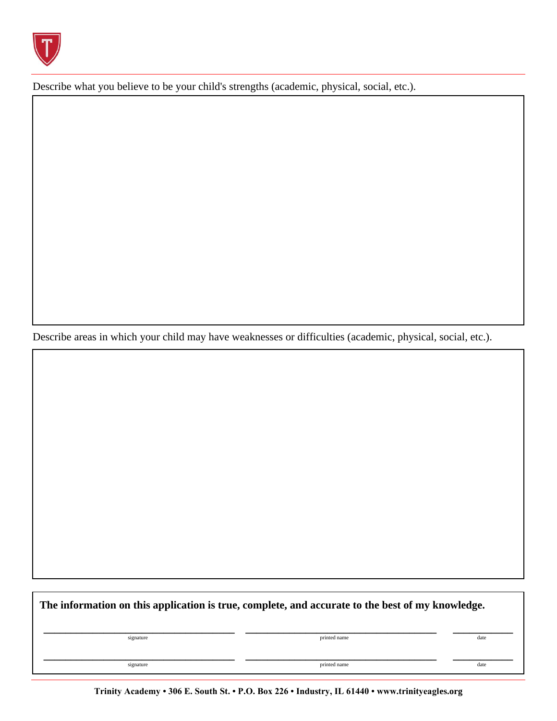

Describe what you believe to be your child's strengths (academic, physical, social, etc.).

Describe areas in which your child may have weaknesses or difficulties (academic, physical, social, etc.).

**The information on this application is true, complete, and accurate to the best of my knowledge. \_\_\_\_\_\_\_\_\_\_\_\_\_\_\_\_\_\_\_\_\_\_\_\_\_\_\_\_\_\_\_\_\_\_\_ \_\_\_\_\_\_\_\_\_\_\_\_\_\_\_\_\_\_\_\_\_\_\_\_\_\_\_\_\_\_\_\_\_\_\_ \_\_\_\_\_\_\_\_\_\_\_** signature date and the state of the state of the printed name date of the state of the state of the state of the state of the state of the state of the state of the state of the state of the state of the state of the state **\_\_\_\_\_\_\_\_\_\_\_\_\_\_\_\_\_\_\_\_\_\_\_\_\_\_\_\_\_\_\_\_\_\_\_ \_\_\_\_\_\_\_\_\_\_\_\_\_\_\_\_\_\_\_\_\_\_\_\_\_\_\_\_\_\_\_\_\_\_\_ \_\_\_\_\_\_\_\_\_\_\_** signature date and the state of the state of the printed name date of the state of the date of the state of the state of the state of the state of the state of the state of the state of the state of the state of the state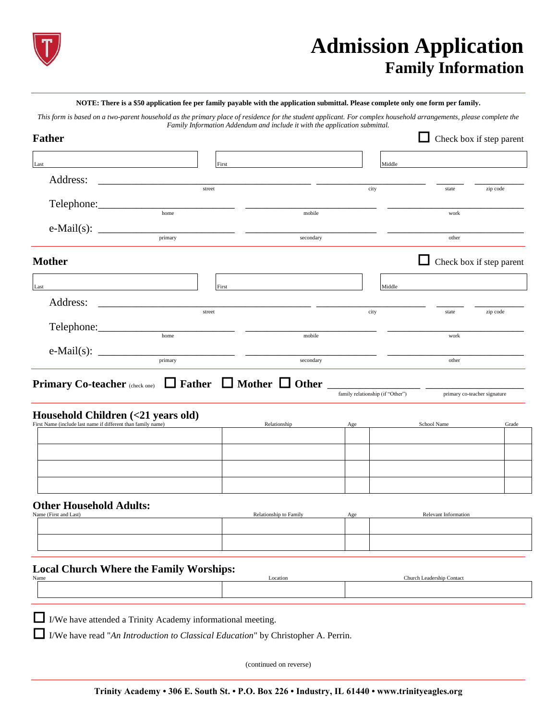

## **Admission Application Family Information**

## **NOTE: There is a \$50 application fee per family payable with the application submittal. Please complete only one form per family.**

*This form is based on a two-parent household as the primary place of residence for the student applicant. For complex household arrangements, please complete the Family Information Addendum and include it with the application submittal.*

| <b>Father</b>                                                                                                                     |         |                        |                                  |                                 | Check box if step parent     |
|-----------------------------------------------------------------------------------------------------------------------------------|---------|------------------------|----------------------------------|---------------------------------|------------------------------|
| $\operatorname{Last}$                                                                                                             | First   |                        | Middle                           |                                 |                              |
| Address:                                                                                                                          | street  |                        | city                             |                                 |                              |
| Telephone:                                                                                                                        |         |                        |                                  | state                           | zip code                     |
|                                                                                                                                   | home    | mobile                 |                                  | work                            |                              |
|                                                                                                                                   | primary | secondary              |                                  | other                           |                              |
| <b>Mother</b>                                                                                                                     |         |                        |                                  | $\Box$ Check box if step parent |                              |
| Last                                                                                                                              | First   |                        | Middle                           |                                 |                              |
| Address:<br><u> 1980 - John Harry Harry Harry Harry Harry Harry Harry Harry Harry Harry Harry Harry Harry Harry Harry Harry H</u> | street  |                        | city                             | state                           | zip code                     |
| Telephone:                                                                                                                        | home    | mobile                 |                                  | work                            |                              |
|                                                                                                                                   | primary | secondary              |                                  | other                           |                              |
| Primary Co-teacher (check one) $\Box$ Father $\Box$ Mother $\Box$ Other $\Box$<br>Household Children (<21 years old)              |         |                        | family relationship (if "Other") |                                 | primary co-teacher signature |
| First Name (include last name if different than family name)                                                                      |         | Relationship           | Age                              | School Name                     | Grade                        |
|                                                                                                                                   |         |                        |                                  |                                 |                              |
|                                                                                                                                   |         |                        |                                  |                                 |                              |
| <b>Other Household Adults:</b><br>Name (First and Last)                                                                           |         | Relationship to Family |                                  | Relevant Information            |                              |
|                                                                                                                                   |         |                        | Age                              |                                 |                              |
|                                                                                                                                   |         |                        |                                  |                                 |                              |
| <b>Local Church Where the Family Worships:</b><br>Name                                                                            |         | Location               |                                  | Church Leadership Contact       |                              |
|                                                                                                                                   |         |                        |                                  |                                 |                              |
|                                                                                                                                   |         |                        |                                  |                                 |                              |

I/We have attended a Trinity Academy informational meeting.

I/We have read "*An Introduction to Classical Education*" by Christopher A. Perrin.

(continued on reverse)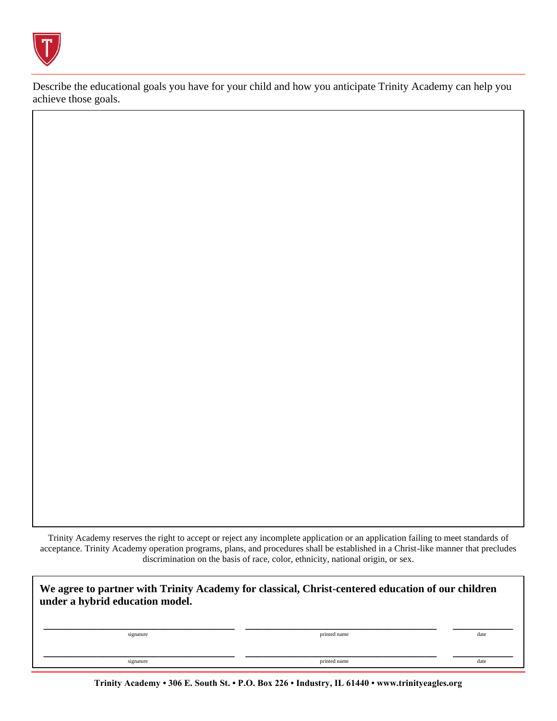

Describe the educational goals you have for your child and how you anticipate Trinity Academy can help you achieve those goals.

Trinity Academy reserves the right to accept or reject any incomplete application or an application failing to meet standards of acceptance. Trinity Academy operation programs, plans, and procedures shall be established in a Christ-like manner that precludes discrimination on the basis of race, color, ethnicity, national origin, or sex.

| We agree to partner with Trinity Academy for classical, Christ-centered education of our children<br>under a hybrid education model. |              |      |  |  |
|--------------------------------------------------------------------------------------------------------------------------------------|--------------|------|--|--|
| signature                                                                                                                            | printed name | date |  |  |
| signature                                                                                                                            | printed name | date |  |  |

**Trinity Academy • 306 E. South St. • P.O. Box 226 • Industry, IL 61440 • www.trinityeagles.org**